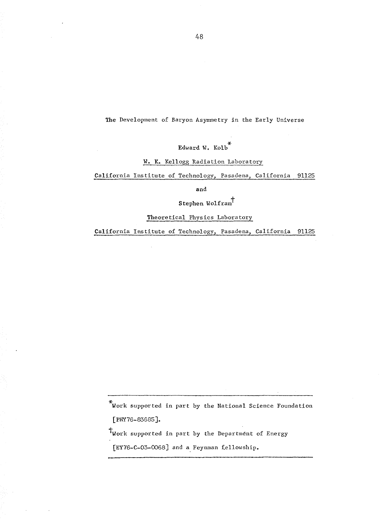The Development of Baryon Asymmetry in the Early Universe

Edward W. Kolb \*

W. K. Kellogg Radiation Laboratory

California Institute of Technology, Pasadena, California 91125

and

Stephen Wolfram<sup>t</sup>

Theoretical Physics Laboratory

California Institute of Technology, Pasadena, California 91125

\* Work supported in part by the National Science Foundation [PHY76-83685].

twork supported in part by the Department of Energy

[EY76-C-03-0068] and a Feynman fellowship.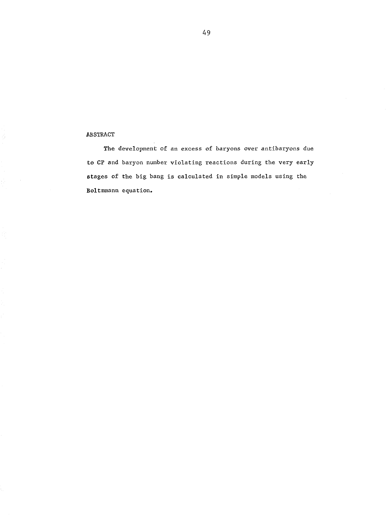## ABSTRACT

š,

The development of an excess of baryons over antibaryons due to CP and baryon number violating reactions during the very early stages of the big bang is calculated in simple models using the Boltzmann equation.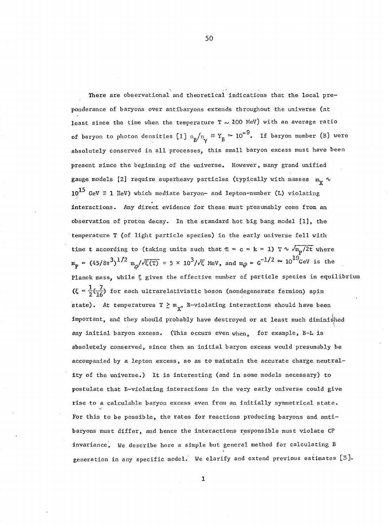There are observational and theoretical indications that the local preponderance of baryons over antibaryons extends throughout the universe (at least since the time when the temperature  $T \sim 100$  MeV) with an average ratio of baryon to photon densities [1]  $n_B/n_v = Y_B \approx 10^{-9}$ . If baryon number (B) were absolutely conserved in all processes, this small baryon excess must have been present since the beginning of the universe. However, many grand unified gauge models [2] require superheavy particles (typically with masses  $m_{\mathbf{v}}$   $\sim$  $10^{15}$  GeV  $\equiv$  1 HeV) which mediate baryon- and lepton-number (L) violating . interactions. Any direct evidence for these must presumably come from an observation of proton decay. In the standard hot big bang model [1], the temperature T (of light particle species) in the early universe fell with time t according to (taking units such that  ${h = c = k = 1}$ ) T  $\sim \sqrt{m_o/2t}$  where  $m_p = (45/8\pi^3)^{1/2}$   $m_g/\sqrt{\xi(T)} \approx 5 \times 10^3/\sqrt{\xi}$  MeV, and  $m_{\varphi} = G^{-1/2} \approx 10^{19}$ GeV is the Planck mass, while  $\xi$  gives the effective number of particle species in equilibrium  $(\xi = \frac{1}{2}(\frac{7}{16})$  for each ultrarelativistic boson (nondegenerate fermion) spin state). At temperatures  $T \ge m_{\chi}$ , B-violating interactions should have been important, and they should probably have destroyed or at least much diminished any initial baryon excess. (This occurs even when, for example, B-L is absolutely conserved, since then an initial baryon excess would presumably be accompanied by a lepton excess, so as to maintain the accurate charge neutrality of the universe.) It is interesting (and in·some models necessary) to postulate that B-violating interactions in the very early universe could give rise to a calculable baryon excess even from an initially symmetrical state. For this to be possible, the rates for reactions producing baryons and antibaryons must differ, and hence the interactions responsible must violate CP invariance. We describe here a simple but general method for calculating B generation in any specific model. We clarify and extend previous estimates  $[3]$ .

50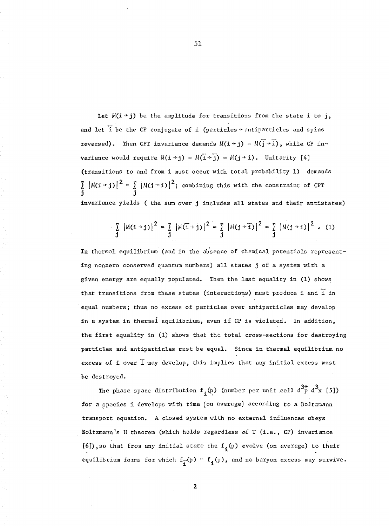Let  $M(i+j)$  be the amplitude for transitions from the state i to j, and let  $\overline{i}$  be the CP conjugate of  $i$  (particles + antiparticles and spins reversed). Then CPT invariance demands  $M(i+j) = M(\overline{j} + \overline{i})$ , while CP invariance would require  $M(i + j) = M(i + j) = M(j + i)$ . Unitarity [4] (transitions to and from i must occur with total probability 1) demands  $\sum |M(i+j)|^2 = \sum |M(j \rightarrow i)|^2$ ; combining this with the constraint of CPT j j invariance yields ( the sum over j includes all states and their antistates)

51

$$
\sum_{j} |M(i \rightarrow j)|^2 = \sum_{j} |M(\overline{i} \rightarrow j)|^2 = \sum_{j} |M(j \rightarrow \overline{i})|^2 = \sum_{j} |M(j \rightarrow i)|^2
$$
 (1)

In thermal equilibrium (and in the absence of chemical potentials representing nonzero conserved quantum numbers) all states j of *a* system with a given energy are equally populated. Then the last equality in (1) shows that transitions from these states (interactions) must produce i and *i* in equal numbers; thus no excess of particles over antiparticles may develop in a system *in* thermai equilibrium, even if CP is violated. In addition, the first equality in (1) shows that the total cross-sections for destroying particles and antiparticles must be equal. Since in thermal equilibrium no excess of i over  $\overline{i}$  may develop, this implies that any initial excess must be destroyed.

The phase space distribution  $f_1(p)$  (number per unit cell  $d^3\hat{p} d^3x$  [5]) for a species i develops with time (on average) according to a Boltzmann transport equation. A closed system with no external influences obeys Boltzmann's H theorem (which holds regardless of T (i.e., CP) invariance [6]), so that from any initial state the  $f_i(p)$  evolve (on average) to their equilibrium forms for which  $f_{\vec{i}}(p) = f_{\vec{i}}(p)$ , and no baryon excess may survive.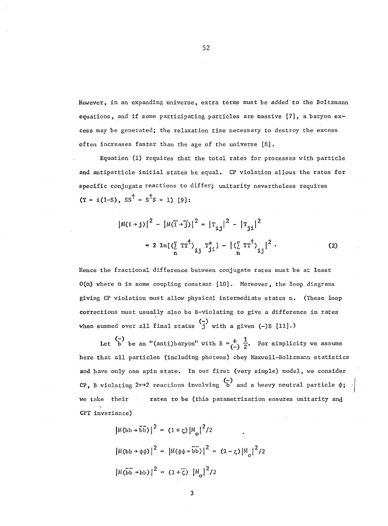However, in an expanding universe, extra terms must be added to the Boltzmann equations, and if some participating particles are massive [7), a baryon excess may be generated; the relaxation time necessary to destroy the excess often increases faster than the age of the universe [8).

Equation (1) requires that the total rates for processes with particle and antiparticle initial states be equal. CP violation allows the rates for specific conjugate reactions to differ; unitarity nevertheless requires  $(T = i(1-S), ss^{\dagger} = s^{\dagger}s = 1)$  [9]:

$$
|M(i+j)|^{2} - |M(\overline{i} + \overline{j})|^{2} = |T_{ij}|^{2} - |T_{j1}|^{2}
$$
  
= 2 Im[( $\sum_{n} T^{T}$ )<sub>ij</sub>  $T^{*}_{ji}$ ] - |( $\sum_{n} T^{T}$ )<sub>ij</sub>|<sup>2</sup>. (2)

Hence the fractional difference between conjugate rates must be at least  $O(\alpha)$  where  $\alpha$  is some coupling constant [10]. Moreover, the loop diagrams giving CP violation must allow physical intermediate states n. (These loop corrections must usually also be B-violating to give a difference in rates when summed over all final states  $\begin{pmatrix} -1 \\ 1 \end{pmatrix}$  with a given  $(-)$  B  $[11]$ .)

Let  $\begin{pmatrix} -1 \\ b \end{pmatrix}$  be an "(anti)baryon" with  $B = \frac{+}{-} \frac{1}{2}$ . For simplicity we assume here that all particles (including photons) obey Maxwell-Boltzmann statistics and have only one spin state. In our first (very simple) model, we consider  $CP, B$  violating  $2 \leftrightarrow 2$  reactions involving  $\begin{pmatrix} - \\ b \end{pmatrix}$  and a heavy neutral particle  $\phi$ ; . we take their rates to be (this parametrization ensures unitarity and CPT invariance)

$$
|M(bb + \overline{b}\overline{b})|^2 = (1 + \zeta)|M_o|^2/2
$$
  
\n
$$
|M(bb + \phi\phi)|^2 = |M(\phi\phi + \overline{b}\overline{b})|^2 = (1 - \zeta)|M_o|^2/2
$$
  
\n
$$
|M(\overline{b}\overline{b} + b\overline{b})|^2 = (1 + \overline{\zeta})|M_o|^2/2
$$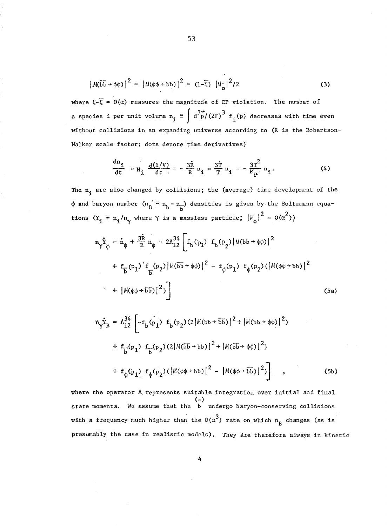$$
|\mathcal{M}(\overline{b}\overline{b} \rightarrow \phi\phi)|^2 = |\mathcal{M}(\phi\phi \rightarrow bb)|^2 = (1-\overline{\zeta}) |\mathcal{M}_o|^2/2
$$
 (3)

where  $\zeta-\overline{\zeta} = 0(\alpha)$  measures the magnitude of CP violation. The number of a species i per unit volume  $n_i \equiv \int d^3\vec{p}/(2\pi)^3 f_i(\vec{p})$  decreases with time even without collisions in an expanding universe according to (R is the Robertson-Walker scale factor; dots denote time derivatives)

$$
\frac{dn_{\mathbf{i}}}{dt} = N_{\mathbf{i}} \frac{d(1/V)}{dt} = -\frac{3\dot{\hat{r}}}{R} n_{\mathbf{i}} = \frac{3\dot{\hat{r}}}{T} n_{\mathbf{i}} = -\frac{3T^2}{M_{\mathbf{p}}} n_{\mathbf{i}}.
$$
 (4)

The  $n_i$  are also changed by collisions; the (average) time development of the  $\phi$  and baryon number  $(n_B' \equiv n_b-n_c)$  densities is given by the Boltzmann equations  $(Y_i \equiv n_i/n_i)$  where  $\gamma$  is a massless particle;  $|M_0|^2 = O(\alpha^2)$ )

$$
n_{\gamma} \dot{\tilde{Y}}_{\phi} = \dot{n}_{\phi} + \frac{3\dot{R}}{R} n_{\phi} = 2\Lambda_{12}^{34} \left[ f_b(p_1) f_b(p_2) |M(b + \phi \phi)|^2 + f_b(p_1) f_b(p_2) |M(\phi + \phi b)|^2 + |M(\phi + \overline{b} \overline{b})|^2 \right]
$$
\n(5a)

$$
n_{\gamma} \dot{Y}_{B} = \Lambda_{12}^{34} \left[ -f_{b} (p_{1}) f_{b} (p_{2}) (2 |M(b + \overline{b} \overline{b}))|^{2} + |M(b + \phi \phi)|^{2} \right]
$$
  
+  $f_{\overline{b}} (p_{1}) f_{b} (p_{2}) (2 |M(\overline{b} \overline{b} \rightarrow b b)|^{2} + |M(\overline{b} \overline{b} \rightarrow \phi \phi)|^{2} )$   
+  $f_{\phi} (p_{1}) f_{\phi} (p_{2}) (|M(\phi \phi \rightarrow b b)|^{2} - |M(\phi \phi \rightarrow \overline{b} \overline{b})|^{2} ) \right],$  (5b)

where the operator *A:* represents suitable integration over initial and final  $(-)$ state momenta. We assume that the b undergo baryon-conserving collisions with a frequency much higher than the O( $\alpha^3$ ) rate on which  $\mathfrak{n}_{_{\bf B}}$  changes (as is presumably the case in realistic models). They are therefore always in kinetic

53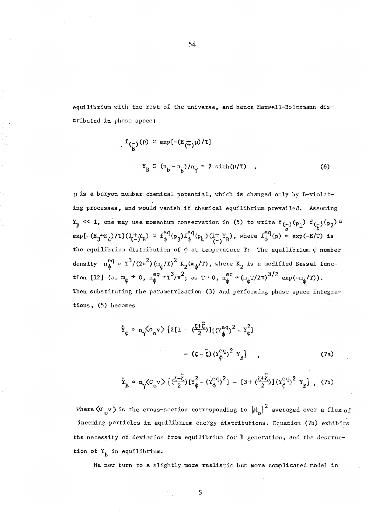equilibrium with the rest of the universe, and hence Haxwell-Boltzmann distributed in phase space:

$$
f_{\frac{1}{b}}(p) \approx \exp[-(E_{\frac{1}{(T)}}\mu)/T]
$$
  
 $Y_B \equiv (n_b - n_{\frac{1}{b}})/n_{\gamma} \approx 2 \sinh(\mu/T)$  (6)

pis a baryon number chemical potential, which is changed only by B-violating processes, and would vanish if chemical equilibrium prevailed. Assuming  $Y_B \ll 1$ , one may use momentum conservation in (5) to write  $f_{(-)}(p_1) f_{(-)}(p_2) =$  $\exp[-(E_3+E_4)/T](1^{-1}_{(-)}\gamma_B) \approx f^{\text{eq}}_{\phi}(p_3)f^{\text{eq}}_{\phi}(p_4)(1^{+}_{(-)})^T_B$ , where  $f^{\text{eq}}_{\phi}(p) = \exp(-E/T)$  is the equilibrium distribution of  $\phi$  at temperature T: The equilibrium  $\phi$  number density  $n_{\phi}^{eq} = T^3/(2\pi^2) (m_{\phi}/T)^2 K_2 (m_{\phi}/T)$ , where  $K_2$  is a modified Bessel function [12] (as  $m_{\phi} \to 0$ ,  $n_{\phi}^{eq} \to T^3/\pi^2$ ; as  $T \to 0$ ,  $n_{\phi}^{eq} \to (m_{\phi}T/2\pi)^{3/2}$   $\exp(-m_{\phi}/T)$ ). Then substituting the parametrization (3) and performing phase space integrations, (5) becomes

$$
\dot{Y}_{\phi} \approx n_{\gamma} \langle \sigma_{0} v \rangle \left\{ 2[1 - (\frac{\zeta + \bar{\zeta}}{2})] \left[ (Y_{\phi}^{eq})^{2} - Y_{\phi}^{2} \right] - (\zeta - \bar{\zeta}) (Y_{\phi}^{eq})^{2} Y_{B} \right\} , \qquad (7a)
$$

$$
\dot{Y}_{B} \approx n_{\gamma} \langle \sigma_{o} v \rangle \left\{ (\frac{\zeta - \bar{\zeta}}{2}) [Y_{\phi}^{2} - (Y_{\phi}^{eq})^{2}] - [3 + (\frac{\zeta + \bar{\zeta}}{2})] (Y_{\phi}^{eq})^{2} Y_{B} \right\} , (7b)
$$

where  $\langle \sigma_{o} v \rangle$  is the cross-section corresponding to  $|M_{o}|^{2}$  averaged over a flux of incoming particles in equilibrium energy distributions. Equation (7b) exhibits the necessity of deviation from equilibrium for *B* generation, and the destruction of  $Y_B$  in equilibrium.

We now turn to a slightly more realistic but more complicated model in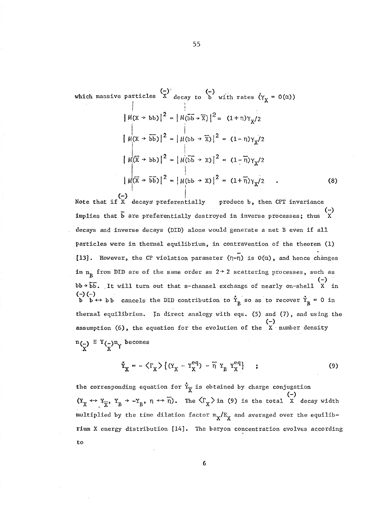which massive particles 
$$
\begin{pmatrix} -1 \\ X \end{pmatrix}
$$
 decay to  $\begin{pmatrix} -1 \\ b \end{pmatrix}$  with rates  $(Y_X = O(\alpha))$   
\n
$$
\begin{vmatrix} M(X + bb) \end{vmatrix}^2 = |M(b\overline{b} + \overline{X})|^2 = (1 + n)Y_X/2
$$
\n
$$
\begin{vmatrix} 1 \\ M(X + bb) \end{vmatrix}^2 = |M(b\overline{b} + \overline{X})|^2 = (1 - n)Y_X/2
$$
\n
$$
\begin{vmatrix} 1 \\ M(X + bb) \end{vmatrix}^2 = |M(b\overline{b} + X)|^2 = (1 - \overline{n})Y_X/2
$$
\n
$$
\begin{vmatrix} 1 \\ M(X + bb) \end{vmatrix}^2 = |M(b\overline{b} + X)|^2 = (1 + \overline{n})Y_X/2
$$
\n(8)

(-)<br>Note that if X decays preferentially produce b, then CPT invariance  $(-)$ implies that  $\bar{b}$  are preferentially destroyed in inverse processes; thus decays and inverse decays (DID) alone would generate a net B even if all particles were in thermal equilibrium, in contravention of the theorem (1) [13]. However, the CP violation parameter  $(n-n)$  is  $O(\alpha)$ , and hence changes in  $n_B$  from DID are of the same order as  $2 \div 2$  scattering processes, such as  $b\bar{b}$  (-)<br>  $b\bar{b}$  +  $\bar{b}\bar{b}$ . It will turn out that s-channel exchange of nearly on-shell X in  $(-)$  (-)<br>(-)(-)<br>b b  $\leftrightarrow$  bb cancels the DID contribution to  $\dot{Y}_R$  so as to recover  $\dot{Y}_R = 0$  in thermal equilibrium. In direct analogy with eqs. (5) and (7), and using the  $(-)$ assumption (6), the equation for the evolution of the  $X$  number density  $n_{\begin{pmatrix} -1 \\ X \end{pmatrix}} \equiv Y_{\begin{pmatrix} -1 \\ X \end{pmatrix}} n_{\gamma}$  becomes

$$
\mathbf{Y}_{\mathbf{X}} = -\left\langle \mathbf{T}_{\mathbf{X}} \right\rangle \left\{ \left( \mathbf{Y}_{\mathbf{X}} - \mathbf{Y}_{\mathbf{X}}^{\mathbf{eq}} \right) - \overline{\mathbf{n}} \mathbf{Y}_{\mathbf{B}} \mathbf{Y}_{\mathbf{X}}^{\mathbf{eq}} \right\} \quad ; \tag{9}
$$

the corresponding equation for  $\dot{\mathbf{Y}}_{\overline{\mathbf{X}}}$  is obtained by charge conjugation  $(-)$  $(Y_X \leftrightarrow Y_{\overline{X}}, Y_B \rightarrow -Y_B, \eta \leftrightarrow \overline{\eta})$ . The  $\langle \Gamma_X \rangle$  in (9) is the total X decay width multiplied by the time dilation factor  $m_X/E_X$  and averaged over the equilibrium X energy distribution [14]. The baryon concentration evolves according to

55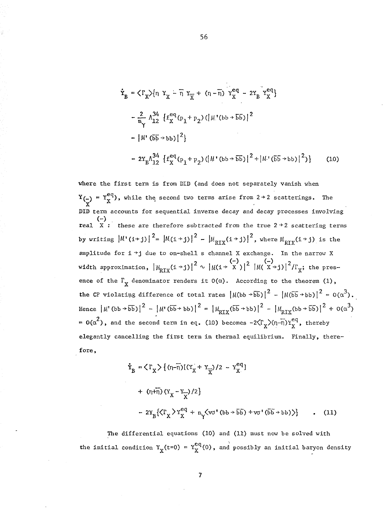$$
\dot{\mathbf{Y}}_{B} = \langle \Gamma_{X} \rangle \{ \eta \, \mathbf{Y}_{X} - \overline{\eta} \, \mathbf{Y}_{\overline{X}} + (\eta - \overline{\eta}) \, \mathbf{Y}_{X}^{eq} - 2 \mathbf{Y}_{B} \, \mathbf{Y}_{X}^{eq} \}
$$
\n
$$
- \frac{2}{n_{\gamma}} \, \Lambda_{12}^{34} \, \{ \mathbf{f}_{X}^{eq}(\mathbf{p}_{1} + \mathbf{p}_{2}) \left( |M| (\mathbf{b} + \overline{\mathbf{b}} \overline{\mathbf{b}}) |^{2} \right\}
$$
\n
$$
- \left| M! \, (\overline{\mathbf{b}} \overline{\mathbf{b}} + \mathbf{b} \mathbf{b}) \right|^{2} \}
$$
\n
$$
- 2 \mathbf{Y}_{B} \Lambda_{12}^{34} \, \{ \mathbf{f}_{X}^{eq}(\mathbf{p}_{1} + \mathbf{p}_{2}) \left( |M| (\mathbf{b} + \overline{\mathbf{b}} \overline{\mathbf{b}}) |^{2} + |M| (\overline{\mathbf{b}} \overline{\mathbf{b}} + \mathbf{b} \mathbf{b}) |^{2} \right\} \tag{10}
$$

where the first term is from DID (and does not separately vanish when  $Y_{\begin{pmatrix} - \\ X \end{pmatrix}} = Y_X^{eq}$ , while the second two terms arise from 2+2 scatterings. The DID term accounts for sequential inverse decay and decay processes involving  $(-)$ real  $X$ : these are therefore subtracted from the true  $2 \div 2$  scattering terms by writing  $|M'(i+j)|^2 = |M(i+j)|^2 - |M_{\text{RTX}}(i+j)|^2$ , where  $M_{\text{RTX}}(i+j)$  is the amplitude for  $i \rightarrow j$  due to on-shell s channel X exchange. In the narrow X width approximation,  $\left| \frac{M_{\text{R}TX}(i\rightarrow j)}{2} \right|^2 \sim \left| \frac{N(i\rightarrow X)}{X} \right|^2 \left| \frac{N(-1)}{X \rightarrow j} \right|^2 / \Gamma_X$ ; the presence of the  $\Gamma_\chi$  denominator renders it  $O(\alpha)$ . According to the theorem (1), the CP violating difference of total rates  $|M(bb + \overline{bb})|^2 - |M(\overline{b}\overline{b}+bb)|^2 = O(\alpha^3)$ . Hence  $|M'(b\bar{b} \rightarrow \bar{b}\bar{b})|^2 - |M'(\bar{b}\bar{b} \rightarrow b\bar{b})|^2 = |M_{RTX}(\bar{b}\bar{b} \rightarrow b\bar{b})|^2 - |M_{RTX}(b\bar{b} \rightarrow \bar{b}\bar{b})|^2 + O(\alpha^3)$ =  $O(\alpha^2)$ , and the second term in eq. (10) becomes  $-2\langle \Gamma_\chi \rangle (n-\overline{n}) Y^{\text{eq}}_\chi$ , thereby elegantly cancelling the first term in thermal equilibrium. Finally, therefore,

$$
\dot{Y}_{B} = \langle \Gamma_{X} \rangle \{ (n-\bar{n}) [ (Y_{X} + Y_{\overline{X}}) / 2 - Y_{X}^{eq} ]
$$
  
+  $(n+\bar{n}) (Y_{X} - Y_{\overline{X}}) / 2 \}$   
-  $2Y_{B} \{ \langle \Gamma_{X} \rangle Y_{X}^{eq} + n_{Y} \langle v\sigma^{\dagger} (bb \rightarrow b\bar{b}) + v\sigma^{\dagger} (b\bar{b} \rightarrow b\bar{b}) \rangle \} \quad . \quad (11)$ 

The differential equations (10) and (11) must now be solved with the initial condition  $Y_X(t=0) = Y_X^{eq}(0)$ , and possibly an initial baryon density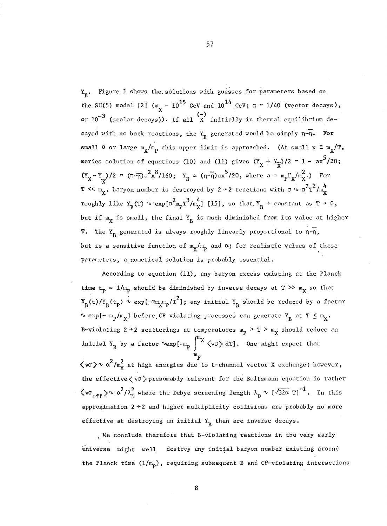$Y_p$ . Figure 1 shows the solutions with guesses for parameters based on the SU(5) model [2]  $(m_v = 10^{15} \text{ GeV} \text{ and } 10^{14} \text{ GeV}; \alpha = 1/40 \text{ (vector decays)}$ or  $10^{-3}$  (scalar decays)). If all X initially in thermal equilibrium decayed with no back reactions, the  $Y_R$  generated would be simply  $n-\overline{n}$ . For small  $\alpha$  or large  $m_X/m_p$  this upper limit is approached. (At small  $x \equiv m_X/T$ , series solution of equations (10) and (11) gives  $(Y_{\chi} + Y_{\overline{\chi}})/2 \approx 1 - ax^5/20;$  $(Y_{x}-Y_{x})/2 = (n-\bar{n})a^{2}x^{8}/160; Y_{B} \approx (n-\bar{n})ax^{5}/20$ , where  $a = m_{p} \Gamma_{x}/m_{x}^{2}$ .) For X **T**  $\leq m_x$ , baryon number is destroyed by 2 + 2 reactions with  $\sigma \sim \alpha^2 T^2 / m_x^4$ roughly like  $Y_R(T) \sim \exp[\alpha_{mp}^2 T^3 / m_X^4]$  [15], so that  $Y_B \to \text{constant}$  as  $T \to 0$ , but if  $m_Y$  is small, the final  $Y_R$  is much diminished from its value at higher **T.** The Y<sub>B</sub> generated is always roughly linearly proportional to  $n-\overline{n}$ , but is a sensitive function of  $m_\chi/m_p$  and  $\alpha$ ; for realistic values of these parameters, a numerical solution is probably essential.

According to equation (11), any baryon excess existing at the Planck time  $t_p = 1/m_p$  should be diminished by inverse decays at T >> m<sub>x</sub> so that  $X_{\rm R}$ (t)/ $Y_{\rm R}$ (t<sub>p</sub>)  $\sim$  exp[- $\alpha$ m<sub>v</sub>m<sub>p</sub>/T<sup>2</sup>]; any initial  $Y_{\rm R}$  should be reduced by a factor  $\sim \exp[-m_p/m_x]$  before CP violating processes can generate Y<sub>B</sub> at T  $\leq m_x$ . B-violating  $2 \div 2$  scatterings at temperatures  $m_p > T > m_{\chi}$  should reduce an initial Y<sub>B</sub> by a factor  $\text{Var}_{\text{P}}\int_{-\infty}^{\infty}$   $\left(\text{Var} \times \text{Var} \times \text{Var} \times \text{Var} \times \text{Var} \times \text{Var} \times \text{Var} \times \text{Var} \times \text{Var} \times \text{Var} \times \text{Var} \times \text{Var} \times \text{Var} \times \text{Var} \times \text{Var} \times \text{Var} \times \text{Var} \times \text{Var} \times \text{Var} \times \text{Var} \times \text{Var} \times \text{Var} \times \text{Var} \times \text{Var} \times$ rnp  $\langle v\sigma\rangle \sim \alpha^2/m_v^2$  at high energies due to t-channel vector X exchange; however, the effective  $\langle v\sigma \rangle$  presumably relevant for the Boltzmann equation is rather  $\langle v\sigma_{eff}\rangle \sim \alpha^2/\lambda_D^2$  where the Debye screening length  $\lambda_D \sim [\sqrt{32\alpha} T]^{-1}$ . In this approximation  $2 \div 2$  and higher multiplicity collisions are probably no more effective at destroying an initial  $Y_B$  than are inverse decays.

We conclude therefore that B-violating reactions in the very early universe might well destroy any initial baryon number existing around the Planck time  $(1/m_p)$ , requiring subsequent B and CP-violating interactions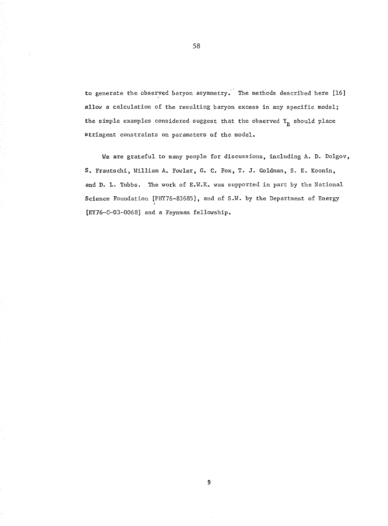to generate the observed baryon asymmetry. The methods described here [16] allow a calculation of the resulting baryon excess in any specific model; the simple examples considered suggest that the observed  $Y_B$  should place stringent constraints on parameters of the model.

We are grateful to many people for discussions, including A. D. Dolgov, S. Frautschi, Hilliam A. Fowler, G. C. Fox, T. J. Goldman, S. E. Koonin, and D. L. Tubbs. The work of E.H.K. was supported in part by the National Science Foundation [PHY76-83685], and of S.W. by the Department of Energy [EY76-C-03-0068] and a Feynman fellowship.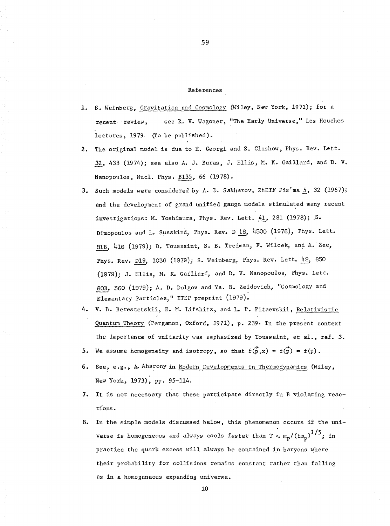## References

- l. S. Weinberg, Gravitation and Cosmology (Hiley, New York, 1972); for *<sup>a</sup>* recent review, see R. V. Wagoner, "The Early Universe," Les Houches Lectures, 1979. (To be published).
- 2. The original model is due to H. Georgi and S. Glashow, Phys. Rev. Lett. 32, 438 (1974); see also A. J. Buras, J. Ellis, H. K. Gaillard, and D. V. Nanopoulos, Nucl. Phys. Bl35, 66 (1978).
- 3. Such models were considered by A. D. Sakharov, ZhETF Pis'ma 5, 32 (1967); and the development of grand unified gauge models stimulated many recent investigations: M. Yoshimura, Phys. Rev. Lett. 41, 281 (1978); .S. Dimopoulos and L. Susskind, Phys. Rev. D 18, 4500 (1978), Phys. Lett. 81B, 416 (1979); D. Toussaint, S. B. Treiman, F. Wilcek, and A. Zee, Phys. Rev. D19, 1036 (1979); S. Weinberg, Phys. Rev. Lett.  $\frac{12}{5}$ , 850 (1979); J. Ellis, M. K. Gaillard, and D. V. Nanopoulos, Phys. Lett. BOB, 360 (1979); A. D. Dolgov and Ya. B. Zeldovich, "Cosmology and Elementary Particles," ITEP preprint (1979).
- 4. V. B. Berestetskii, E. M. Lifshitz, and L. P. Pitaevskii, Relativistic Quantum Theory (Pergamon, Oxford, 1971), p. 239. In the present context the importance of unitarity was emphasized by Toussaint, et *al.,* ref. 3.
- 5. We assume homogeneity and isotropy, so that  $f(\vec{p},x) = f(\vec{p}) = f(p)$ .
- 6. See, e.g., A. Aharony in Modern Developments in Thermodynamics (Wiley, New York, 1973), pp. 95-114.
- 7. It is not necessary that these participate directly in B violating reactions.
- 8. In the simple models discussed below, this phenomenon occurs if the uni verse is homogeneous and always cools faster than T  $_{\rm \sim m_{\rm p}} / {\left( \rm{tm_{\rm p}} \right)}^{1/5};$  in practice the quark excess will always be contained in baryons where their probability for collisions remains constant rather than falling as in a homogeneous expanding universe.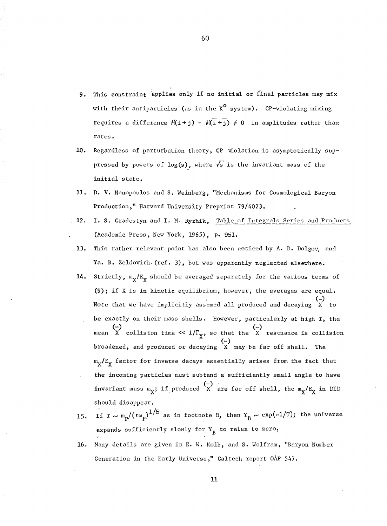- 9. This constraint applies only if no initial or final particles may mix with their antiparticles (as in the  $K^0$  system). CP-violating mixing requires a difference  $M(1 + j) - M(1 + j) \neq 0$  in amplitudes rather than rates.
- 10. Regardless of perturbation theory, CP violation is asymptotically suppressed by powers of log(s), where  $\sqrt{s}$  is the invariant mass of the initial state.
- 11. D. V. Nanopoulos and S. Weinberg, "Mechanisms for Cosmological Baryon Production," Harvard University Preprint 79/4023.
- 12. I. S. Gradestyn and I. M. Ryzhik, Table of Integrals Series and Products (Academic Press, New York, 1965), p. 951.
- 13. This rather relevant point has also been noticed by A. D. Dolgov and Ya. B. Zeldovich. (ref. 3), but was apparently neglected elsewhere.
- 14. Strictly,  $m_{\rm x}/E_{\rm x}$  should be averaged separately for the various terms of (9); if X is in kinetic equilibrium, however, the averages are equal. (-) Note that we have implicitly assumed all produced and decaying X to be exactly on their mass shells. However, particularly at high T, the  $(-)$  (-) mean  $X'$  collision time  $\leq 1/\Gamma_{\mathbf{v}}$ , so that the X resonance is collision  $(-)$ broadened, and produced or decaying  $X$  may be far off shell. The  $m_{\text{y}}/E_{\text{y}}$  factor for inverse decays essentially arises from the fact that the incoming particles must subtend a sufficiently small angle to have invariant mass  $m_X$ ; if produced  $\begin{pmatrix} - \\ X \end{pmatrix}$  are far off shell, the  $m_X/E_X$  in DID should disappear.
- 15. If  $T \sim m_p/(t m_p)^{1/5}$  as in footnote 8, then  $Y_B \sim \exp(-1/T)$ ; the universe expands sufficiently slowly for  $Y_B$  to relax to zero.
- 16. Many details are given in E. W. Kolb, and S. Wolfram, "Baryon Number Generation in the Early Universe," Caltech report OAP 547.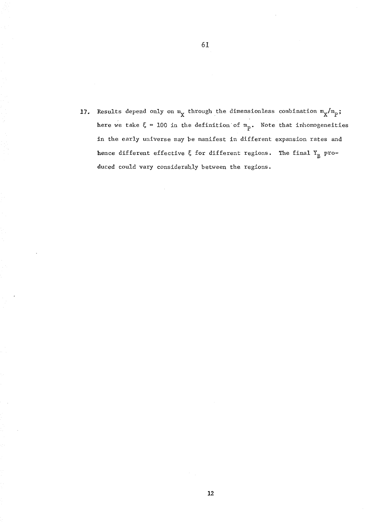17. Results depend only on  $m_X$  through the dimensionless combination  $m_X/m_p$ ; here we take  $\xi = 100$  in the definition of  $m_p$ . Note that inhomogeneities in the early universe may be manifest in different expansion rates and hence different effective  $\xi$  for different regions. The final  $Y_B$  produced could vary considerahly between the regions.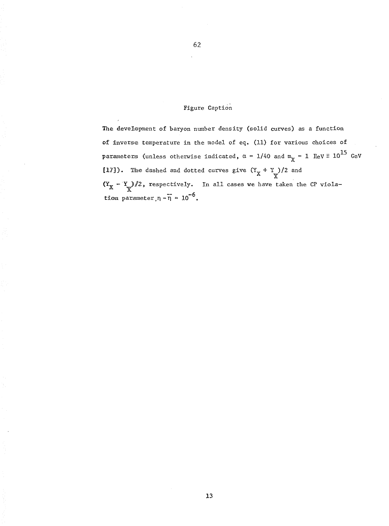## Figure Caption

The development of baryon number density (solid curves) as a function **of** inverse temperature in the model of eq. (11) for various choices of parameters (unless otherwise indicated,  $\alpha = 1/40$  and  $m_{\chi} = 1$  IIeV  $\equiv 10^{15}$  GeV [17]). The dashed and dotted curves give  $(Y_y + Y_y)/2$  and X  $(Y_{X}- Y_{\overline{X}})/2$ , respectively. In all cases we have taken the CP violation parameter.  $n - \overline{n} = 10^{-6}$ .